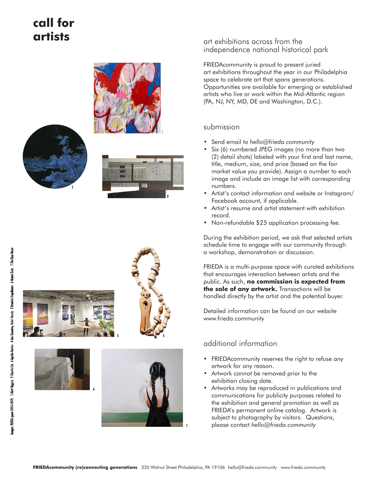## **call for artists**













6



### art exhibitions across from the independence national historical park

FRIEDAcommunity is proud to present juried art exhibitions throughout the year in our Philadelphia space to celebrate art that spans generations. Opportunities are available for emerging or established artists who live or work within the Mid-Atlantic region (PA, NJ, NY, MD, DE and Washington, D.C.).

### submission

- Send email to *hello@frieda.community*
- Six (6) numbered JPEG images (no more than two (2) detail shots) labeled with your first and last name, title, medium, size, and price (based on the fair market value you provide). Assign a number to each image and include an image list with corresponding numbers.
- Artist's contact information and website or Instagram/ Facebook account, if applicable.
- Artist's resume and artist statement with exhibition record.
- Non-refundable \$25 application processing fee.

During the exhibition period, we ask that selected artists schedule time to engage with our community through a workshop, demonstration or discussion.

FRIEDA is a multi-purpose space with curated exhibitions that encourages interaction between artists and the public. As such, **no commission is expected from the sale of any artwork.** Transactions will be handled directly by the artist and the potential buyer.

Detailed information can be found on our website www.frieda.community

## additional information

- FRIEDAcommunity reserves the right to refuse any artwork for any reason.
- Artwork cannot be removed prior to the exhibition closing date.
- Artworks may be reproduced in publications and communications for publicity purposes related to the exhibition and general promotion as well as FRIEDA's permanent online catalog. Artwork is subject to photography by visitors. Questions, please contact *hello@frieda.community*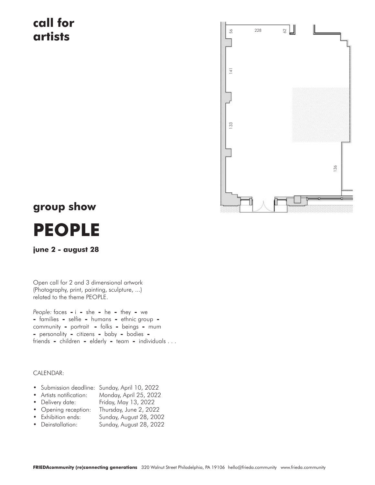## **call for artists**



# **group show**



### **june 2 - august 28**

Open call for 2 and 3 dimensional artwork (Photography, print, painting, sculpture, ...) related to the theme PEOPLE.

*People:* faces **-** i **-** she **-** he **-** they **-** we **-** families **-** selfie **-** humans **-** ethnic group  community **-** portrait **-** folks **-** beings **-** mum **-** personality **-** citizens **-** baby **-** bodies  friends **-** children **-** elderly **-** team **-** individuals . . .

#### CALENDAR:

| • Submission deadline: Sunday, April 10, 2022 |  |  |
|-----------------------------------------------|--|--|
|                                               |  |  |

- Artists notification: Monday, April 25, 2022
- Delivery date: Friday, May 13, 2022
- Opening reception: Thursday, June 2, 2022
- Exhibition ends: Sunday, August 28, 2002
- Deinstallation: Sunday, August 28, 2022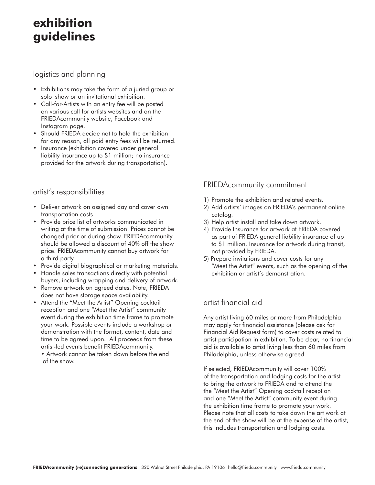## **exhibition guidelines**

logistics and planning

- Exhibitions may take the form of a juried group or solo show or an invitational exhibition.
- Call-for-Artists with an entry fee will be posted on various call for artists websites and on the FRIEDAcommunity website, Facebook and Instagram page.
- Should FRIEDA decide not to hold the exhibition for any reason, all paid entry fees will be returned.
- Insurance (exhibition covered under general liability insurance up to \$1 million; no insurance provided for the artwork during transportation).

### artist's responsibilities

- Deliver artwork on assigned day and cover own transportation costs
- Provide price list of artworks communicated in writing at the time of submission. Prices cannot be changed prior or during show. FRIEDAcommunity should be allowed a discount of 40% off the show price. FRIEDAcommunity cannot buy artwork for a third party.
- Provide digital biographical or marketing materials.
- Handle sales transactions directly with potential buyers, including wrapping and delivery of artwork.
- Remove artwork on agreed dates. Note, FRIEDA does not have storage space availability.
- Attend the "Meet the Artist" Opening cocktail reception and one "Meet the Artist" community event during the exhibition time frame to promote your work. Possible events include a workshop or demonstration with the format, content, date and time to be agreed upon. All proceeds from these artist-led events benefit FRIEDAcommunity.

• Artwork cannot be taken down before the end of the show.

## FRIEDAcommunity commitment

- 1) Promote the exhibition and related events.
- 2) Add artists' images on FRIEDA's permanent online catalog.
- 3) Help artist install and take down artwork.
- 4) Provide Insurance for artwork at FRIEDA covered as part of FRIEDA general liability insurance of up to \$1 million. Insurance for artwork during transit, not provided by FRIEDA.
- 5) Prepare invitations and cover costs for any "Meet the Artist" events, such as the opening of the exhibition or artist's demonstration.

## artist financial aid

Any artist living 60 miles or more from Philadelphia may apply for financial assistance (please ask for Financial Aid Request form) to cover costs related to artist participation in exhibition. To be clear, no financial aid is available to artist living less than 60 miles from Philadelphia, unless otherwise agreed.

If selected, FRIEDAcommunity will cover 100% of the transportation and lodging costs for the artist to bring the artwork to FRIEDA and to attend the the "Meet the Artist" Opening cocktail reception and one "Meet the Artist" community event during the exhibition time frame to promote your work. Please note that all costs to take down the art work at the end of the show will be at the expense of the artist; this includes transportation and lodging costs.